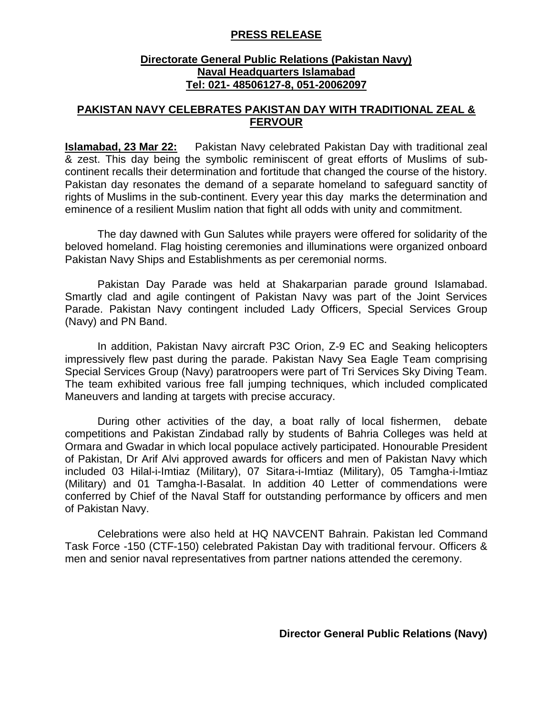## **PRESS RELEASE**

## **Directorate General Public Relations (Pakistan Navy) Naval Headquarters Islamabad Tel: 021- 48506127-8, 051-20062097**

## **PAKISTAN NAVY CELEBRATES PAKISTAN DAY WITH TRADITIONAL ZEAL & FERVOUR**

**Islamabad, 23 Mar 22:** Pakistan Navy celebrated Pakistan Day with traditional zeal & zest. This day being the symbolic reminiscent of great efforts of Muslims of subcontinent recalls their determination and fortitude that changed the course of the history. Pakistan day resonates the demand of a separate homeland to safeguard sanctity of rights of Muslims in the sub-continent. Every year this day marks the determination and eminence of a resilient Muslim nation that fight all odds with unity and commitment.

The day dawned with Gun Salutes while prayers were offered for solidarity of the beloved homeland. Flag hoisting ceremonies and illuminations were organized onboard Pakistan Navy Ships and Establishments as per ceremonial norms.

Pakistan Day Parade was held at Shakarparian parade ground Islamabad. Smartly clad and agile contingent of Pakistan Navy was part of the Joint Services Parade. Pakistan Navy contingent included Lady Officers, Special Services Group (Navy) and PN Band.

In addition, Pakistan Navy aircraft P3C Orion, Z-9 EC and Seaking helicopters impressively flew past during the parade. Pakistan Navy Sea Eagle Team comprising Special Services Group (Navy) paratroopers were part of Tri Services Sky Diving Team. The team exhibited various free fall jumping techniques, which included complicated Maneuvers and landing at targets with precise accuracy.

During other activities of the day, a boat rally of local fishermen, debate competitions and Pakistan Zindabad rally by students of Bahria Colleges was held at Ormara and Gwadar in which local populace actively participated. Honourable President of Pakistan, Dr Arif Alvi approved awards for officers and men of Pakistan Navy which included 03 Hilal-i-Imtiaz (Military), 07 Sitara-i-Imtiaz (Military), 05 Tamgha-i-Imtiaz (Military) and 01 Tamgha-I-Basalat. In addition 40 Letter of commendations were conferred by Chief of the Naval Staff for outstanding performance by officers and men of Pakistan Navy.

Celebrations were also held at HQ NAVCENT Bahrain. Pakistan led Command Task Force -150 (CTF-150) celebrated Pakistan Day with traditional fervour. Officers & men and senior naval representatives from partner nations attended the ceremony.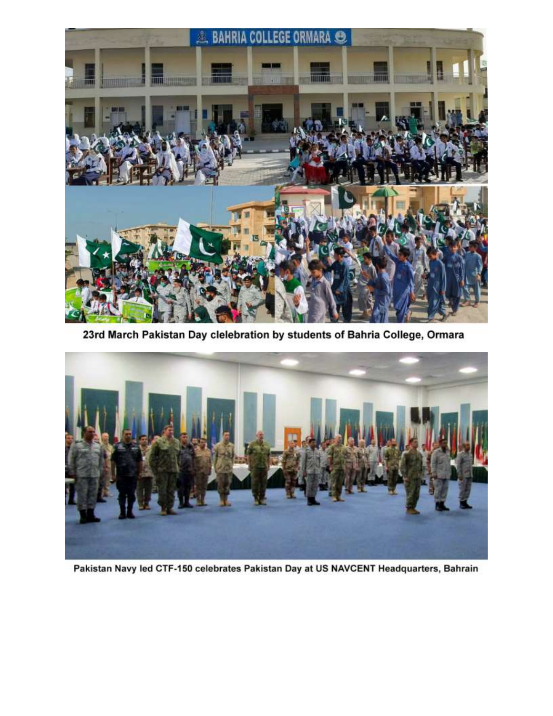

23rd March Pakistan Day clelebration by students of Bahria College, Ormara



Pakistan Navy led CTF-150 celebrates Pakistan Day at US NAVCENT Headquarters, Bahrain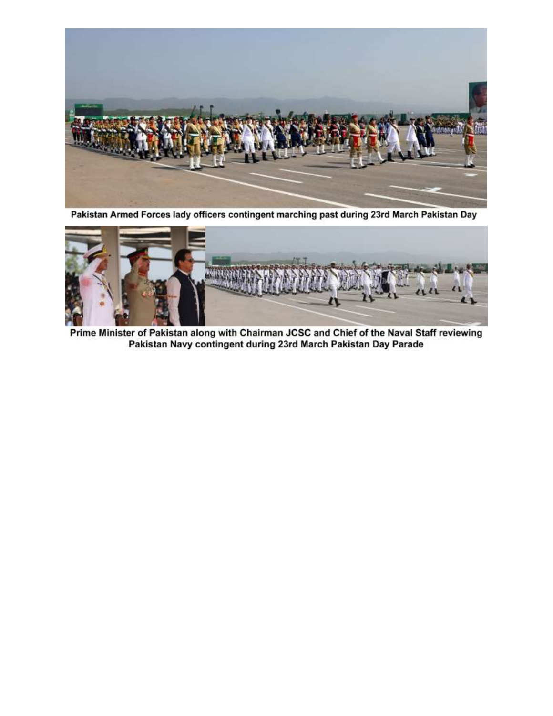

Pakistan Armed Forces lady officers contingent marching past during 23rd March Pakistan Day



Prime Minister of Pakistan along with Chairman JCSC and Chief of the Naval Staff reviewing Pakistan Navy contingent during 23rd March Pakistan Day Parade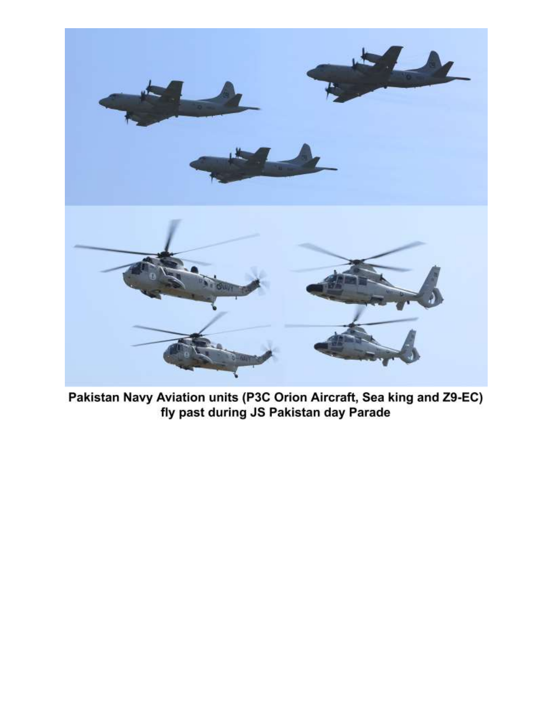

Pakistan Navy Aviation units (P3C Orion Aircraft, Sea king and Z9-EC) fly past during JS Pakistan day Parade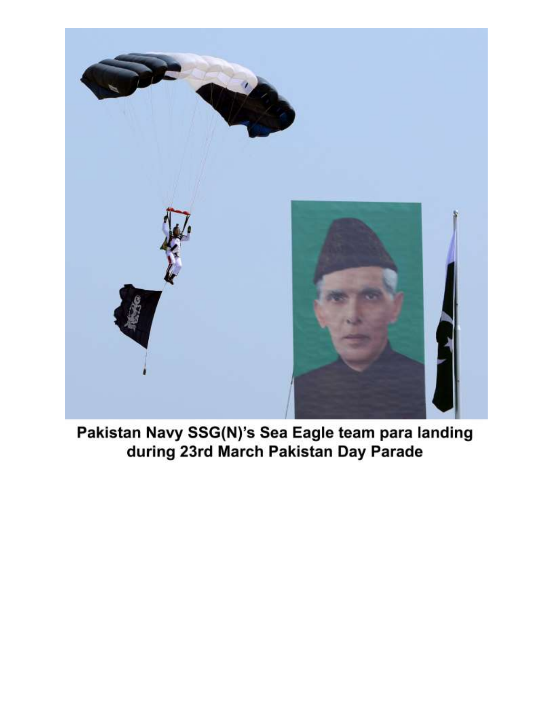

Pakistan Navy SSG(N)'s Sea Eagle team para landing during 23rd March Pakistan Day Parade